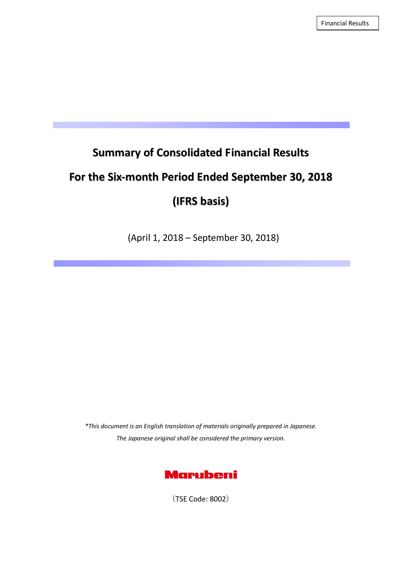Financial Results

# **Summary of Consolidated Financial Results**

# **For the Six‐month Period Ended September 30, 2018**

# **(IFRS basis)**

(April 1, 2018 – September 30, 2018)

*\*This document is an English translation of materials originally prepared in Japanese. The Japanese original shall be considered the primary version.*



(TSE Code: 8002)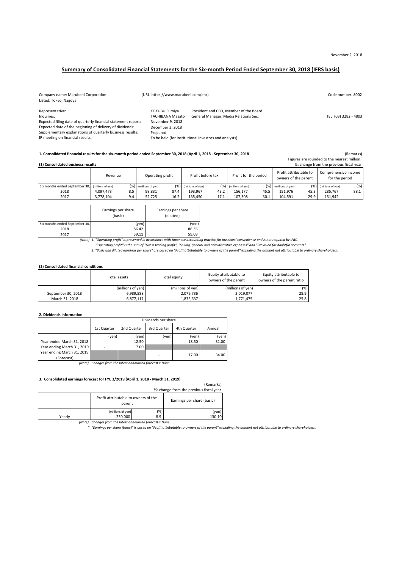#### Summary of Consolidated Financial Statements for the Six-month Period Ended September 30, 2018 (IFRS basis)

| Company name: Marubeni Corporation<br>Listed: Tokyo, Nagoya   | (URL https://www.marubeni.com/en/)       |                                                                                 | Code number: 8002    |
|---------------------------------------------------------------|------------------------------------------|---------------------------------------------------------------------------------|----------------------|
| Representative:<br>Inquiries:                                 | KOKUBU Fumiya<br><b>TACHIBANA Masato</b> | President and CEO, Member of the Board<br>General Manager, Media Relations Sec. | TEL (03) 3282 - 4803 |
| Expected filing date of quarterly financial statement report: | November 9, 2018                         |                                                                                 |                      |
| Expected date of the beginning of delivery of dividends:      | December 3, 2018                         |                                                                                 |                      |
| Supplementary explanations of quarterly business results:     | Prepared                                 |                                                                                 |                      |
| IR meeting on financial results:                              |                                          | To be held (for institutional investors and analysts)                           |                      |

#### 1. Consolidated financial results for the six-month period ended September 30, 2018 (April 1, 2018 - September 30, 2018

Figures are rounded to the nearest million.

| %: change from the previous fiscal year<br>(1) Consolidated business results |           |     |                       |      |                         |      |                       |      |                                                |      |                                        |      |
|------------------------------------------------------------------------------|-----------|-----|-----------------------|------|-------------------------|------|-----------------------|------|------------------------------------------------|------|----------------------------------------|------|
|                                                                              | Revenue   |     | Operating profit      |      | Profit before tax       |      | Profit for the period |      | Profit attributable to<br>owners of the parent |      | Comprehensive income<br>for the period |      |
| Six months ended September 30, (millions of yen)                             |           |     | (%) (millions of yen) |      | $(%)$ (millions of yen) | (%)] | (millions of yen)     |      | (%) (millions of yen)                          |      | (%) (millions of yen)                  | (%)  |
| 2018                                                                         | 4.097.473 | 8.5 | 98.831                | 87.4 | 193.967                 | 43.2 | 156.177               | 45.5 | 151.976                                        | 45.3 | 285.767                                | 88.1 |
| 2017                                                                         | 3,778,104 | 9.4 | 52.725                | 16.2 | 135.450                 | 17.1 | 107.308               | 30.1 | 104.591                                        | 29.9 | 151.942                                |      |

|                                | Earnings per share<br>(basic) | Earnings per share<br>(diluted) |
|--------------------------------|-------------------------------|---------------------------------|
| Six months ended September 30, | (yen)                         | (yen)                           |
| 2018                           | 86.42                         | 86.36                           |
| 2017                           | 59.11                         | 59.09                           |

Note) 1. "Operating profit" is presented in accordance with Japanese accounting practice for investors' convenience and is not required by IFRS.<br>"Operating profit" is the sum of "Gross trading profit", "Selling, general an

#### **(2) Consolidated financial conditions**

|                    | Total assets      | Total equity      | Equity attributable to<br>owners of the parent | Equity attributable to<br>owners of the parent ratio |
|--------------------|-------------------|-------------------|------------------------------------------------|------------------------------------------------------|
|                    | (millions of yen) | (millions of yen) | (millions of yen)                              | $(\%)$                                               |
| September 30, 2018 | 6.989.588         | 2,079,736         | 2,019,077                                      | 28.9                                                 |
| March 31, 2018     | 6.877.117         | 1,835,637         | 1.771.475                                      | 25.8                                                 |

#### **2. Dividends information**

|                            | Dividends per share |             |             |             |        |
|----------------------------|---------------------|-------------|-------------|-------------|--------|
|                            | 1st Quarter         | 2nd Quarter | 3rd Quarter | 4th Quarter | Annual |
|                            | (yen)               | (yen)       | (yen)       | (yen)       | (yen)  |
| Year ended March 31, 2018  | ٠                   | 12.50       | ٠           | 18.50       | 31.00  |
| Year ending March 31, 2019 |                     | 17.00       |             |             |        |
| Year ending March 31, 2019 |                     |             | ٠           | 17.00       | 34.00  |
| (Forecast)                 |                     |             |             |             |        |

*(Note) Changes from the latest announced forecasts: None*

#### **3**.**Consolidated earnings forecast for FYE 3/2019 (April 1, 2018 ‐ March 31, 2019)**

| 3. Consolidated carmings forecast for FTE 3/2023 (April 2, 2020 - March 32, 2023) |                                                |        |                            |  |  |
|-----------------------------------------------------------------------------------|------------------------------------------------|--------|----------------------------|--|--|
|                                                                                   |                                                |        | (Remarks)                  |  |  |
| %: change from the previous fiscal year                                           |                                                |        |                            |  |  |
|                                                                                   | Profit attributable to owners of the<br>parent |        | Earnings per share (basic) |  |  |
|                                                                                   | (millions of yen)                              | $(\%)$ | (yen)                      |  |  |
| Yearly                                                                            | 230,000                                        | 8.9    | 130.10                     |  |  |

Note) Changes from the latest announced forecasts: None<br>TEarnings per share (basic)" is based on "Profit attributable to owners of the parent" excluding the amount not attributable to ordinary shareholders \* "Earnings per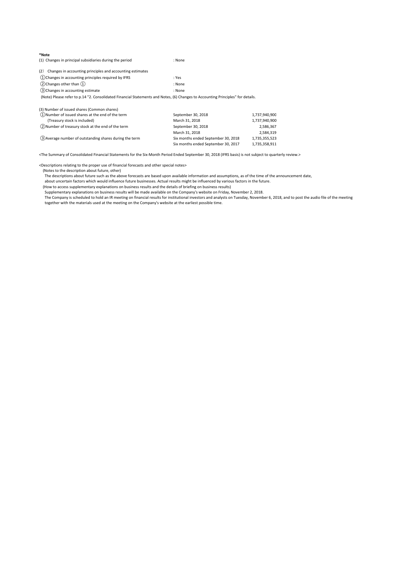| *Note<br>(1) Changes in principal subsidiaries during the period                                                                | : None |
|---------------------------------------------------------------------------------------------------------------------------------|--------|
| Changes in accounting principles and accounting estimates<br>(2)                                                                |        |
| (1) Changes in accounting principles required by IFRS                                                                           | : Yes  |
| $(2)$ Changes other than $(1)$                                                                                                  | : None |
| (3) Changes in accounting estimate                                                                                              | : None |
| (Note) Please refer to p.14 "2. Consolidated Financial Statements and Notes, (6) Changes to Accounting Principles" for details. |        |
| (3) Number of issued shares (Common shares)                                                                                     |        |

| (1) Number of issued shares at the end of the term       | September 30, 2018                  | 1,737,940,900 |
|----------------------------------------------------------|-------------------------------------|---------------|
| (Treasury stock is included)                             | March 31, 2018                      | 1,737,940,900 |
| (2) Number of treasury stock at the end of the term      | September 30, 2018                  | 2,586,367     |
|                                                          | March 31, 2018                      | 2.584.319     |
| (3) Average number of outstanding shares during the term | Six months ended September 30, 2018 | 1.735.355.523 |
|                                                          | Six months ended September 30, 2017 | 1.735.358.911 |

<The Summary of Consolidated Financial Statements for the Six‐Month Period Ended September 30, 2018 (IFRS basis) is not subject to quarterly review.>

<Descriptions relating to the proper use of financial forecasts and other special notes>

(Notes to the description about future, other)

The descriptions about future such as the above forecasts are based upon available information and assumptions, as of the time of the announcement date,

about uncertain factors which would influence future businesses. Actual results might be influenced by various factors in the future.

(How to access supplementary explanations on business results and the details of briefing on business results)<br>Supplementary explanations on business results will be made available on the Company's website on Friday, Novem

The Company is scheduled to hold an IR meeting on financial results for institutional investors and analysts on Tuesday, November 6, 2018, and to post the audio file of the meeting

together with the materials used at the meeting on the Company's website at the earliest possible time.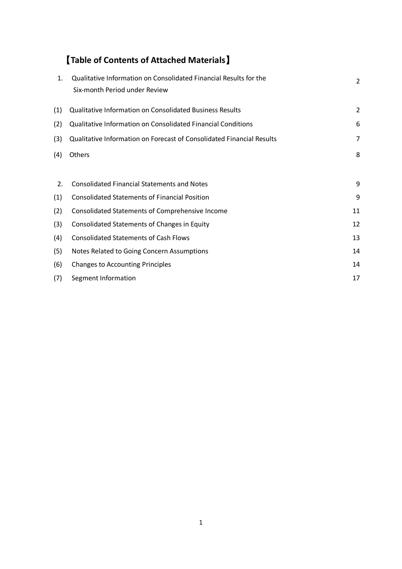# 【**Table of Contents of Attached Materials**】

| 1.  | Qualitative Information on Consolidated Financial Results for the<br>Six-month Period under Review | $\overline{2}$ |
|-----|----------------------------------------------------------------------------------------------------|----------------|
| (1) | Qualitative Information on Consolidated Business Results                                           | $\overline{2}$ |
| (2) | Qualitative Information on Consolidated Financial Conditions                                       | 6              |
| (3) | Qualitative Information on Forecast of Consolidated Financial Results                              | 7              |
| (4) | Others                                                                                             | 8              |
|     |                                                                                                    |                |
| 2.  | <b>Consolidated Financial Statements and Notes</b>                                                 | 9              |
| (1) | <b>Consolidated Statements of Financial Position</b>                                               | 9              |
| (2) | Consolidated Statements of Comprehensive Income                                                    | 11             |
| (3) | Consolidated Statements of Changes in Equity                                                       | 12             |
| (4) | <b>Consolidated Statements of Cash Flows</b>                                                       | 13             |
| (5) | Notes Related to Going Concern Assumptions                                                         | 14             |
| (6) | <b>Changes to Accounting Principles</b>                                                            | 14             |
| (7) | Segment Information                                                                                | 17             |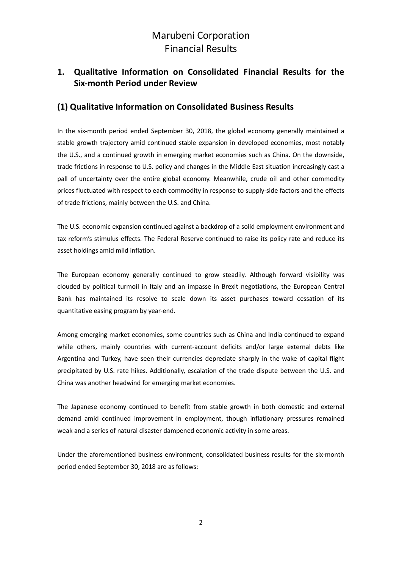### **1. Qualitative Information on Consolidated Financial Results for the Six‐month Period under Review**

### **(1) Qualitative Information on Consolidated Business Results**

In the six-month period ended September 30, 2018, the global economy generally maintained a stable growth trajectory amid continued stable expansion in developed economies, most notably the U.S., and a continued growth in emerging market economies such as China. On the downside, trade frictions in response to U.S. policy and changes in the Middle East situation increasingly cast a pall of uncertainty over the entire global economy. Meanwhile, crude oil and other commodity prices fluctuated with respect to each commodity in response to supply‐side factors and the effects of trade frictions, mainly between the U.S. and China.

The U.S. economic expansion continued against a backdrop of a solid employment environment and tax reform's stimulus effects. The Federal Reserve continued to raise its policy rate and reduce its asset holdings amid mild inflation.

The European economy generally continued to grow steadily. Although forward visibility was clouded by political turmoil in Italy and an impasse in Brexit negotiations, the European Central Bank has maintained its resolve to scale down its asset purchases toward cessation of its quantitative easing program by year‐end.

Among emerging market economies, some countries such as China and India continued to expand while others, mainly countries with current-account deficits and/or large external debts like Argentina and Turkey, have seen their currencies depreciate sharply in the wake of capital flight precipitated by U.S. rate hikes. Additionally, escalation of the trade dispute between the U.S. and China was another headwind for emerging market economies.

The Japanese economy continued to benefit from stable growth in both domestic and external demand amid continued improvement in employment, though inflationary pressures remained weak and a series of natural disaster dampened economic activity in some areas.

Under the aforementioned business environment, consolidated business results for the six-month period ended September 30, 2018 are as follows: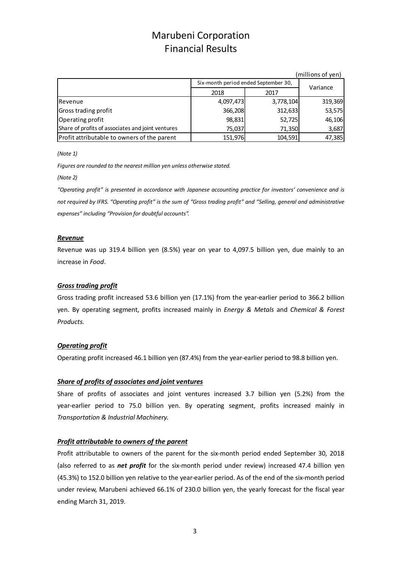|                                                   |           |                                      | (millions of yen) |  |
|---------------------------------------------------|-----------|--------------------------------------|-------------------|--|
|                                                   |           | Six-month period ended September 30, |                   |  |
|                                                   | 2018      | 2017                                 | Variance          |  |
| <b>IRevenue</b>                                   | 4,097,473 | 3,778,104                            | 319,369           |  |
| Gross trading profit                              | 366,208   | 312,633                              | 53,575            |  |
| Operating profit                                  | 98,831    | 52,725                               | 46,106            |  |
| Share of profits of associates and joint ventures | 75,037    | 71,350                               | 3,687             |  |
| Profit attributable to owners of the parent       | 151,976   | 104,591                              | 47,385            |  |

*(Note 1)*

*Figures are rounded to the nearest million yen unless otherwise stated.*

*(Note 2)*

*"Operating profit" is presented in accordance with Japanese accounting practice for investors' convenience and is* not required by IFRS. "Operating profit" is the sum of "Gross trading profit" and "Selling, general and administrative *expenses" including "Provision for doubtful accounts".*

#### *Revenue*

Revenue was up 319.4 billion yen (8.5%) year on year to 4,097.5 billion yen, due mainly to an increase in *Food*.

### *Gross trading profit*

Gross trading profit increased 53.6 billion yen (17.1%) from the year-earlier period to 366.2 billion yen. By operating segment, profits increased mainly in *Energy & Metals* and *Chemical & Forest Products.*

### *Operating profit*

Operating profit increased 46.1 billion yen (87.4%) from the year-earlier period to 98.8 billion yen.

#### *Share of profits of associates and joint ventures*

Share of profits of associates and joint ventures increased 3.7 billion yen (5.2%) from the year-earlier period to 75.0 billion yen. By operating segment, profits increased mainly in *Transportation & Industrial Machinery.*

### *Profit attributable to owners of the parent*

Profit attributable to owners of the parent for the six-month period ended September 30, 2018 (also referred to as *net profit* for the six‐month period under review) increased 47.4 billion yen (45.3%) to 152.0 billion yen relative to the year-earlier period. As of the end of the six-month period under review, Marubeni achieved 66.1% of 230.0 billion yen, the yearly forecast for the fiscal year ending March 31, 2019.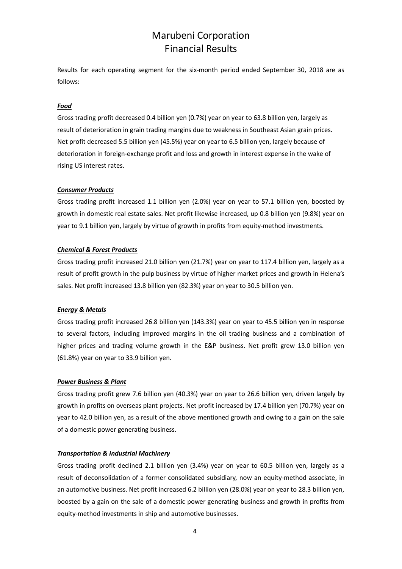Results for each operating segment for the six-month period ended September 30, 2018 are as follows:

### *Food*

Gross trading profit decreased 0.4 billion yen (0.7%) year on year to 63.8 billion yen, largely as result of deterioration in grain trading margins due to weakness in Southeast Asian grain prices. Net profit decreased 5.5 billion yen (45.5%) year on year to 6.5 billion yen, largely because of deterioration in foreign‐exchange profit and loss and growth in interest expense in the wake of rising US interest rates.

#### *Consumer Products*

Gross trading profit increased 1.1 billion yen (2.0%) year on year to 57.1 billion yen, boosted by growth in domestic real estate sales. Net profit likewise increased, up 0.8 billion yen (9.8%) year on year to 9.1 billion yen, largely by virtue of growth in profits from equity-method investments.

#### *Chemical & Forest Products*

Gross trading profit increased 21.0 billion yen (21.7%) year on year to 117.4 billion yen, largely as a result of profit growth in the pulp business by virtue of higher market prices and growth in Helena's sales. Net profit increased 13.8 billion yen (82.3%) year on year to 30.5 billion yen.

#### *Energy & Metals*

Gross trading profit increased 26.8 billion yen (143.3%) year on year to 45.5 billion yen in response to several factors, including improved margins in the oil trading business and a combination of higher prices and trading volume growth in the E&P business. Net profit grew 13.0 billion yen (61.8%) year on year to 33.9 billion yen.

#### *Power Business & Plant*

Gross trading profit grew 7.6 billion yen (40.3%) year on year to 26.6 billion yen, driven largely by growth in profits on overseas plant projects. Net profit increased by 17.4 billion yen (70.7%) year on year to 42.0 billion yen, as a result of the above mentioned growth and owing to a gain on the sale of a domestic power generating business.

#### *Transportation & Industrial Machinery*

Gross trading profit declined 2.1 billion yen (3.4%) year on year to 60.5 billion yen, largely as a result of deconsolidation of a former consolidated subsidiary, now an equity-method associate, in an automotive business. Net profit increased 6.2 billion yen (28.0%) year on year to 28.3 billion yen, boosted by a gain on the sale of a domestic power generating business and growth in profits from equity‐method investments in ship and automotive businesses.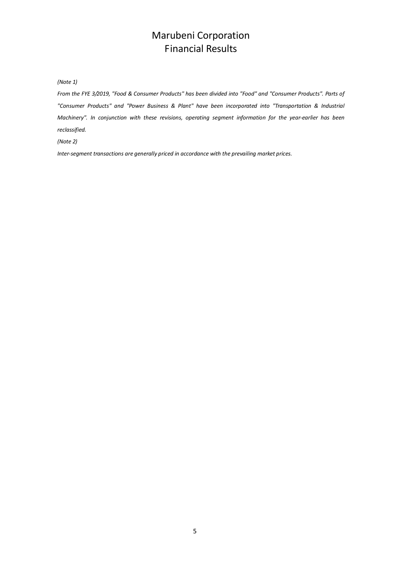*(Note 1)*

From the FYE 3/2019, "Food & Consumer Products" has been divided into "Food" and "Consumer Products". Parts of *"Consumer Products" and "Power Business & Plant" have been incorporated into "Transportation & Industrial Machinery". In conjunction with these revisions, operating segment information for the year‐earlier has been*  $reclassified.$ 

*(Note 2)*

*Inter‐segment transactions are generally priced in accordance with the prevailing market prices.*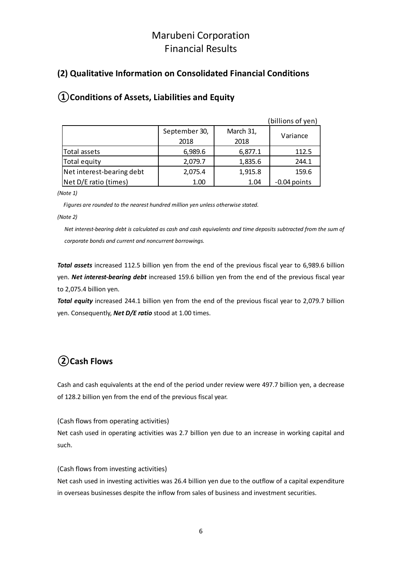### **(2) Qualitative Information on Consolidated Financial Conditions**

### (billions of yen) September 30, March 31, 2018 2018 Total assets **1.12.5 6,989.6 6,877.1 112.5** Total equity **1,835.6** 244.1 Net interest-bearing debt | 2,075.4 | 1,915.8 | 159.6 Net D/E ratio (times) 1.00 1.04 ‐0.04 points Variance

### **①Conditions of Assets, Liabilities and Equity**

*(Note 1)*

*Figures are rounded to the nearest hundred million yen unless otherwise stated.*

*(Note 2)*

Net interest-bearing debt is calculated as cash and cash equivalents and time deposits subtracted from the sum of *corporate bonds and current and noncurrent borrowings.*

*Total assets* increased 112.5 billion yen from the end of the previous fiscal year to 6,989.6 billion yen. *Net interest‐bearing debt* increased 159.6 billion yen from the end of the previous fiscal year to 2,075.4 billion yen.

*Total equity* increased 244.1 billion yen from the end of the previous fiscal year to 2,079.7 billion yen. Consequently, *Net D/E ratio* stood at 1.00 times.

## **②Cash Flows**

Cash and cash equivalents at the end of the period under review were 497.7 billion yen, a decrease of 128.2 billion yen from the end of the previous fiscal year.

(Cash flows from operating activities)

Net cash used in operating activities was 2.7 billion yen due to an increase in working capital and such.

### (Cash flows from investing activities)

Net cash used in investing activities was 26.4 billion yen due to the outflow of a capital expenditure in overseas businesses despite the inflow from sales of business and investment securities.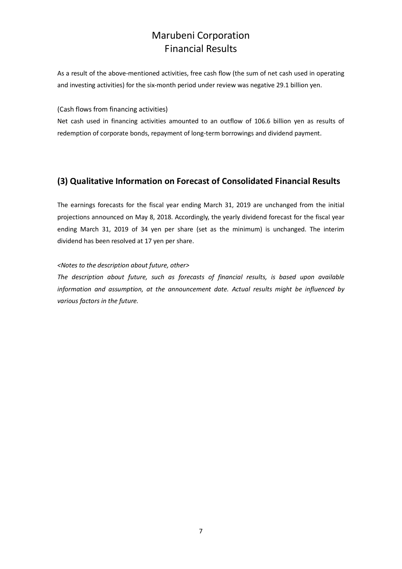As a result of the above-mentioned activities, free cash flow (the sum of net cash used in operating and investing activities) for the six-month period under review was negative 29.1 billion yen.

(Cash flows from financing activities)

Net cash used in financing activities amounted to an outflow of 106.6 billion yen as results of redemption of corporate bonds, repayment of long-term borrowings and dividend payment.

### **(3) Qualitative Information on Forecast of Consolidated Financial Results**

The earnings forecasts for the fiscal year ending March 31, 2019 are unchanged from the initial projections announced on May 8, 2018. Accordingly, the yearly dividend forecast for the fiscal year ending March 31, 2019 of 34 yen per share (set as the minimum) is unchanged. The interim dividend has been resolved at 17 yen per share.

### *<Notes to the description about future, other>*

*The description about future, such as forecasts of financial results, is based upon available information and assumption, at the announcement date. Actual results might be influenced by various factors in the future.*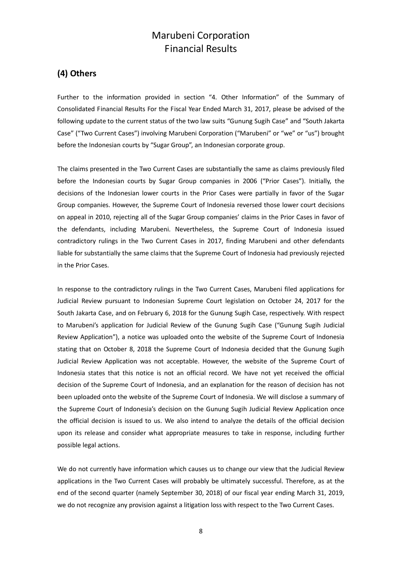### **(4) Others**

Further to the information provided in section "4. Other Information" of the Summary of Consolidated Financial Results For the Fiscal Year Ended March 31, 2017, please be advised of the following update to the current status of the two law suits "Gunung Sugih Case" and "South Jakarta Case" ("Two Current Cases") involving Marubeni Corporation ("Marubeni" or "we" or "us") brought before the Indonesian courts by "Sugar Group", an Indonesian corporate group.

The claims presented in the Two Current Cases are substantially the same as claims previously filed before the Indonesian courts by Sugar Group companies in 2006 ("Prior Cases"). Initially, the decisions of the Indonesian lower courts in the Prior Cases were partially in favor of the Sugar Group companies. However, the Supreme Court of Indonesia reversed those lower court decisions on appeal in 2010, rejecting all of the Sugar Group companies' claims in the Prior Cases in favor of the defendants, including Marubeni. Nevertheless, the Supreme Court of Indonesia issued contradictory rulings in the Two Current Cases in 2017, finding Marubeni and other defendants liable for substantially the same claims that the Supreme Court of Indonesia had previously rejected in the Prior Cases.

In response to the contradictory rulings in the Two Current Cases, Marubeni filed applications for Judicial Review pursuant to Indonesian Supreme Court legislation on October 24, 2017 for the South Jakarta Case, and on February 6, 2018 for the Gunung Sugih Case, respectively. With respect to Marubeni's application for Judicial Review of the Gunung Sugih Case ("Gunung Sugih Judicial Review Application"), a notice was uploaded onto the website of the Supreme Court of Indonesia stating that on October 8, 2018 the Supreme Court of Indonesia decided that the Gunung Sugih Judicial Review Application was not acceptable. However, the website of the Supreme Court of Indonesia states that this notice is not an official record. We have not yet received the official decision of the Supreme Court of Indonesia, and an explanation for the reason of decision has not been uploaded onto the website of the Supreme Court of Indonesia. We will disclose a summary of the Supreme Court of Indonesia's decision on the Gunung Sugih Judicial Review Application once the official decision is issued to us. We also intend to analyze the details of the official decision upon its release and consider what appropriate measures to take in response, including further possible legal actions.

We do not currently have information which causes us to change our view that the Judicial Review applications in the Two Current Cases will probably be ultimately successful. Therefore, as at the end of the second quarter (namely September 30, 2018) of our fiscal year ending March 31, 2019, we do not recognize any provision against a litigation loss with respect to the Two Current Cases.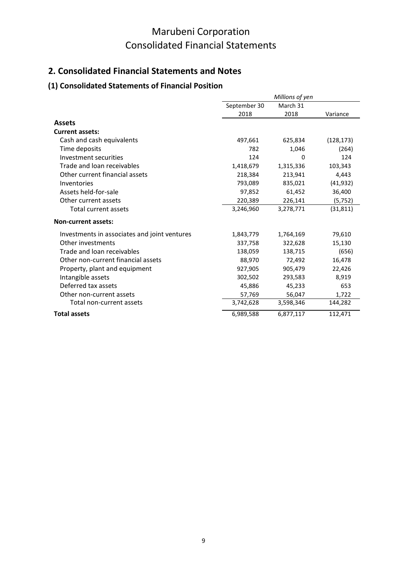## **2. Consolidated Financial Statements and Notes**

### **(1) Consolidated Statements of Financial Position**

|                                              |              | Millions of yen |            |
|----------------------------------------------|--------------|-----------------|------------|
|                                              | September 30 | March 31        |            |
|                                              | 2018         | 2018            | Variance   |
| <b>Assets</b>                                |              |                 |            |
| <b>Current assets:</b>                       |              |                 |            |
| Cash and cash equivalents                    | 497,661      | 625,834         | (128, 173) |
| Time deposits                                | 782          | 1,046           | (264)      |
| Investment securities                        | 124          | $\Omega$        | 124        |
| Trade and loan receivables                   | 1,418,679    | 1,315,336       | 103,343    |
| Other current financial assets               | 218,384      | 213,941         | 4,443      |
| Inventories                                  | 793,089      | 835,021         | (41, 932)  |
| Assets held-for-sale                         | 97,852       | 61,452          | 36,400     |
| Other current assets                         | 220,389      | 226,141         | (5, 752)   |
| Total current assets                         | 3,246,960    | 3,278,771       | (31, 811)  |
| <b>Non-current assets:</b>                   |              |                 |            |
| Investments in associates and joint ventures | 1,843,779    | 1,764,169       | 79,610     |
| Other investments                            | 337,758      | 322,628         | 15,130     |
| Trade and loan receivables                   | 138,059      | 138,715         | (656)      |
| Other non-current financial assets           | 88,970       | 72,492          | 16,478     |
| Property, plant and equipment                | 927,905      | 905,479         | 22,426     |
| Intangible assets                            | 302,502      | 293,583         | 8,919      |
| Deferred tax assets                          | 45,886       | 45,233          | 653        |
| Other non-current assets                     | 57,769       | 56,047          | 1,722      |
| Total non-current assets                     | 3,742,628    | 3,598,346       | 144,282    |
| <b>Total assets</b>                          | 6,989,588    | 6,877,117       | 112,471    |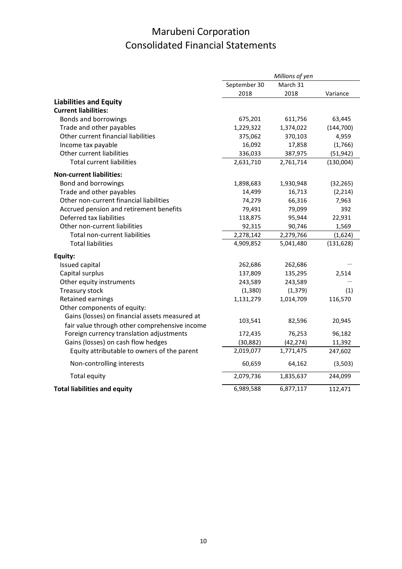|                                                |              | Millions of yen |            |
|------------------------------------------------|--------------|-----------------|------------|
|                                                | September 30 | March 31        |            |
|                                                | 2018         | 2018            | Variance   |
| <b>Liabilities and Equity</b>                  |              |                 |            |
| <b>Current liabilities:</b>                    |              |                 |            |
| <b>Bonds and borrowings</b>                    | 675,201      | 611,756         | 63,445     |
| Trade and other payables                       | 1,229,322    | 1,374,022       | (144, 700) |
| Other current financial liabilities            | 375,062      | 370,103         | 4,959      |
| Income tax payable                             | 16,092       | 17,858          | (1,766)    |
| Other current liabilities                      | 336,033      | 387,975         | (51, 942)  |
| <b>Total current liabilities</b>               | 2,631,710    | 2,761,714       | (130,004)  |
| <b>Non-current liabilities:</b>                |              |                 |            |
| Bond and borrowings                            | 1,898,683    | 1,930,948       | (32, 265)  |
| Trade and other payables                       | 14,499       | 16,713          | (2, 214)   |
| Other non-current financial liabilities        | 74,279       | 66,316          | 7,963      |
| Accrued pension and retirement benefits        | 79,491       | 79,099          | 392        |
| Deferred tax liabilities                       | 118,875      | 95,944          | 22,931     |
| Other non-current liabilities                  | 92,315       | 90,746          | 1,569      |
| Total non-current liabilities                  | 2,278,142    | 2,279,766       | (1,624)    |
| <b>Total liabilities</b>                       | 4,909,852    | 5,041,480       | (131, 628) |
| Equity:                                        |              |                 |            |
| Issued capital                                 | 262,686      | 262,686         |            |
| Capital surplus                                | 137,809      | 135,295         | 2,514      |
| Other equity instruments                       | 243,589      | 243,589         |            |
| Treasury stock                                 | (1, 380)     | (1, 379)        | (1)        |
| Retained earnings                              | 1,131,279    | 1,014,709       | 116,570    |
| Other components of equity:                    |              |                 |            |
| Gains (losses) on financial assets measured at |              |                 |            |
| fair value through other comprehensive income  | 103,541      | 82,596          | 20,945     |
| Foreign currency translation adjustments       | 172,435      | 76,253          | 96,182     |
| Gains (losses) on cash flow hedges             | (30, 882)    | (42, 274)       | 11,392     |
| Equity attributable to owners of the parent    | 2,019,077    | 1,771,475       | 247,602    |
| Non-controlling interests                      | 60,659       | 64,162          | (3,503)    |
| Total equity                                   | 2,079,736    | 1,835,637       | 244,099    |
| <b>Total liabilities and equity</b>            | 6,989,588    | 6,877,117       | 112,471    |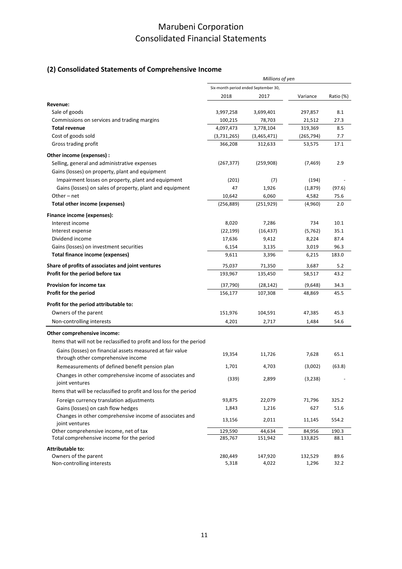### **(2) Consolidated Statements of Comprehensive Income**

|                                                                       | Millions of yen                      |             |            |           |
|-----------------------------------------------------------------------|--------------------------------------|-------------|------------|-----------|
|                                                                       | Six-month period ended September 30, |             |            |           |
|                                                                       | 2018                                 | 2017        | Variance   | Ratio (%) |
| Revenue:                                                              |                                      |             |            |           |
| Sale of goods                                                         | 3,997,258                            | 3,699,401   | 297,857    | 8.1       |
| Commissions on services and trading margins                           | 100,215                              | 78,703      | 21,512     | 27.3      |
| <b>Total revenue</b>                                                  | 4,097,473                            | 3,778,104   | 319,369    | 8.5       |
| Cost of goods sold                                                    | (3,731,265)                          | (3,465,471) | (265, 794) | 7.7       |
| Gross trading profit                                                  | 366,208                              | 312,633     | 53,575     | 17.1      |
| Other income (expenses) :                                             |                                      |             |            |           |
| Selling, general and administrative expenses                          | (267, 377)                           | (259, 908)  | (7, 469)   | 2.9       |
| Gains (losses) on property, plant and equipment                       |                                      |             |            |           |
| Impairment losses on property, plant and equipment                    | (201)                                | (7)         | (194)      |           |
| Gains (losses) on sales of property, plant and equipment              | 47                                   | 1,926       | (1,879)    | (97.6)    |
| Other – net                                                           | 10,642                               | 6,060       | 4,582      | 75.6      |
| Total other income (expenses)                                         | (256, 889)                           | (251, 929)  | (4,960)    | 2.0       |
| Finance income (expenses):                                            |                                      |             |            |           |
| Interest income                                                       | 8,020                                | 7,286       | 734        | 10.1      |
| Interest expense                                                      | (22, 199)                            | (16, 437)   | (5, 762)   | 35.1      |
| Dividend income                                                       | 17,636                               | 9,412       | 8,224      | 87.4      |
| Gains (losses) on investment securities                               | 6,154                                | 3,135       | 3,019      | 96.3      |
| Total finance income (expenses)                                       | 9,611                                | 3,396       | 6,215      | 183.0     |
| Share of profits of associates and joint ventures                     | 75,037                               | 71,350      | 3,687      | 5.2       |
| Profit for the period before tax                                      | 193,967                              | 135,450     | 58,517     | 43.2      |
| <b>Provision for income tax</b>                                       | (37, 790)                            | (28, 142)   | (9,648)    | 34.3      |
| Profit for the period                                                 | 156,177                              | 107,308     | 48,869     | 45.5      |
| Profit for the period attributable to:                                |                                      |             |            |           |
| Owners of the parent                                                  | 151,976                              | 104,591     | 47,385     | 45.3      |
| Non-controlling interests                                             | 4,201                                | 2,717       | 1,484      | 54.6      |
|                                                                       |                                      |             |            |           |
| Other comprehensive income:                                           |                                      |             |            |           |
| Items that will not be reclassified to profit and loss for the period |                                      |             |            |           |
| Gains (losses) on financial assets measured at fair value             | 19,354                               | 11,726      | 7,628      | 65.1      |
| through other comprehensive income                                    |                                      |             |            |           |
| Remeasurements of defined benefit pension plan                        | 1,701                                | 4,703       | (3,002)    | (63.8)    |
| Changes in other comprehensive income of associates and               | (339)                                | 2,899       | (3, 238)   |           |
| joint ventures                                                        |                                      |             |            |           |
| Items that will be reclassified to profit and loss for the period     |                                      |             |            |           |
| Foreign currency translation adjustments                              | 93,875                               | 22,079      | 71,796     | 325.2     |
| Gains (losses) on cash flow hedges                                    | 1,843                                | 1,216       | 627        | 51.6      |
| Changes in other comprehensive income of associates and               | 13,156                               | 2,011       | 11,145     | 554.2     |
| joint ventures<br>Other comprehensive income, net of tax              | 129,590                              | 44,634      | 84,956     | 190.3     |
| Total comprehensive income for the period                             | 285,767                              | 151,942     | 133,825    | 88.1      |
|                                                                       |                                      |             |            |           |
| <b>Attributable to:</b><br>Owners of the parent                       | 280,449                              | 147,920     | 132,529    | 89.6      |
| Non-controlling interests                                             | 5,318                                | 4,022       | 1,296      | 32.2      |
|                                                                       |                                      |             |            |           |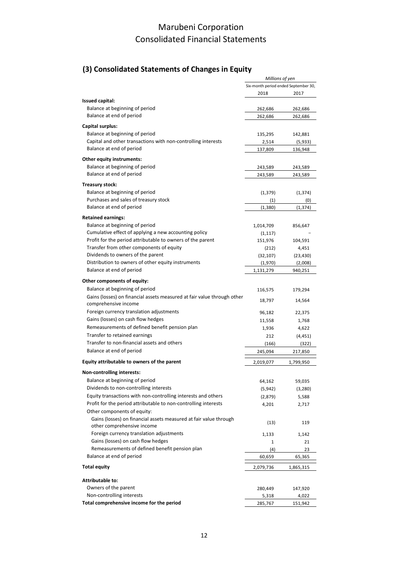### **(3) Consolidated Statements of Changes in Equity**

|                                                                                                                     | Millions of yen                      |                    |
|---------------------------------------------------------------------------------------------------------------------|--------------------------------------|--------------------|
|                                                                                                                     | Six-month period ended September 30, |                    |
|                                                                                                                     | 2018                                 | 2017               |
| <b>Issued capital:</b>                                                                                              |                                      |                    |
| Balance at beginning of period                                                                                      | 262,686                              | 262,686            |
| Balance at end of period                                                                                            | 262,686                              | 262,686            |
| Capital surplus:                                                                                                    |                                      |                    |
| Balance at beginning of period                                                                                      | 135,295                              | 142,881            |
| Capital and other transactions with non-controlling interests                                                       | 2,514                                | (5,933)            |
| Balance at end of period                                                                                            | 137,809                              | 136,948            |
| Other equity instruments:                                                                                           |                                      |                    |
| Balance at beginning of period                                                                                      | 243,589                              | 243,589            |
| Balance at end of period                                                                                            | 243,589                              | 243,589            |
| Treasury stock:                                                                                                     |                                      |                    |
| Balance at beginning of period                                                                                      | (1, 379)                             | (1, 374)           |
| Purchases and sales of treasury stock                                                                               | (1)                                  | (0)                |
| Balance at end of period                                                                                            | (1, 380)                             | (1, 374)           |
|                                                                                                                     |                                      |                    |
| <b>Retained earnings:</b>                                                                                           |                                      |                    |
| Balance at beginning of period                                                                                      | 1,014,709                            | 856,647            |
| Cumulative effect of applying a new accounting policy<br>Profit for the period attributable to owners of the parent | (1, 117)                             |                    |
| Transfer from other components of equity                                                                            | 151,976                              | 104,591            |
| Dividends to owners of the parent                                                                                   | (212)<br>(32, 107)                   | 4,451<br>(23, 430) |
| Distribution to owners of other equity instruments                                                                  | (1,970)                              | (2,008)            |
| Balance at end of period                                                                                            | 1,131,279                            | 940,251            |
|                                                                                                                     |                                      |                    |
| Other components of equity:                                                                                         |                                      |                    |
| Balance at beginning of period                                                                                      | 116,575                              | 179,294            |
| Gains (losses) on financial assets measured at fair value through other<br>comprehensive income                     | 18,797                               | 14,564             |
| Foreign currency translation adjustments                                                                            | 96,182                               | 22,375             |
| Gains (losses) on cash flow hedges                                                                                  | 11,558                               | 1,768              |
| Remeasurements of defined benefit pension plan                                                                      | 1,936                                | 4,622              |
| Transfer to retained earnings                                                                                       | 212                                  | (4, 451)           |
| Transfer to non-financial assets and others                                                                         | (166)                                | (322)              |
| Balance at end of period                                                                                            | 245,094                              | 217,850            |
| Equity attributable to owners of the parent                                                                         | 2,019,077                            | 1,799,950          |
| Non-controlling interests:                                                                                          |                                      |                    |
| Balance at beginning of period                                                                                      | 64,162                               | 59,035             |
| Dividends to non-controlling interests                                                                              | (5, 942)                             | (3,280)            |
| Equity transactions with non-controlling interests and others                                                       | (2,879)                              | 5,588              |
| Profit for the period attributable to non-controlling interests                                                     | 4,201                                | 2,717              |
| Other components of equity:                                                                                         |                                      |                    |
| Gains (losses) on financial assets measured at fair value through<br>other comprehensive income                     | (13)                                 | 119                |
| Foreign currency translation adjustments                                                                            | 1,133                                | 1,142              |
| Gains (losses) on cash flow hedges                                                                                  | $\mathbf{1}$                         | 21                 |
| Remeasurements of defined benefit pension plan                                                                      | (4)                                  | 23                 |
| Balance at end of period                                                                                            | 60,659                               | 65,365             |
| <b>Total equity</b>                                                                                                 | 2,079,736                            | 1,865,315          |
|                                                                                                                     |                                      |                    |
| <b>Attributable to:</b>                                                                                             |                                      |                    |
| Owners of the parent                                                                                                | 280,449                              | 147,920            |
| Non-controlling interests                                                                                           | 5,318                                | 4,022              |
| Total comprehensive income for the period                                                                           | 285,767                              | 151,942            |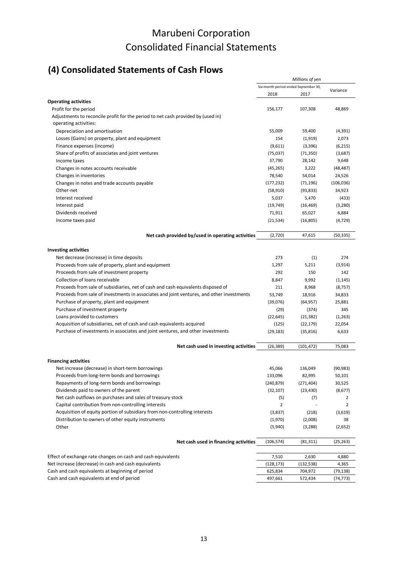# **(4) Consolidated Statements of Cash Flows**

|                                                                                                           | Millions of yen                      |            |            |  |
|-----------------------------------------------------------------------------------------------------------|--------------------------------------|------------|------------|--|
|                                                                                                           | Six-month period ended September 30, |            |            |  |
|                                                                                                           | 2018                                 | 2017       | Variance   |  |
| <b>Operating activities</b>                                                                               |                                      |            |            |  |
| Profit for the period                                                                                     | 156,177                              | 107,308    | 48,869     |  |
| Adjustments to reconcile profit for the period to net cash provided by (used in)<br>operating activities: |                                      |            |            |  |
| Depreciation and amortisation                                                                             | 55,009                               | 59,400     | (4, 391)   |  |
| Losses (Gains) on property, plant and equipment                                                           | 154                                  | (1, 919)   | 2,073      |  |
| Finance expenses (income)                                                                                 | (9,611)                              | (3,396)    | (6, 215)   |  |
| Share of profits of associates and joint ventures                                                         | (75,037)                             | (71, 350)  | (3,687)    |  |
| Income taxes                                                                                              | 37,790                               | 28,142     | 9,648      |  |
| Changes in notes accounts receivable                                                                      | (45, 265)                            | 3,222      | (48, 487)  |  |
| Changes in inventories                                                                                    | 78,540                               | 54,014     | 24,526     |  |
| Changes in notes and trade accounts payable                                                               | (177, 232)                           | (71, 196)  | (106, 036) |  |
| Other-net                                                                                                 | (58, 910)                            | (93, 833)  | 34,923     |  |
| Interest received                                                                                         | 5,037                                | 5,470      | (433)      |  |
| Interest paid                                                                                             | (19, 749)                            | (16, 469)  | (3,280)    |  |
| Dividends received                                                                                        | 71,911                               | 65,027     | 6,884      |  |
| Income taxes paid                                                                                         | (21, 534)                            | (16, 805)  | (4, 729)   |  |
| Net cash provided by/used in operating activities                                                         | (2,720)                              | 47,615     | (50, 335)  |  |
| <b>Investing activities</b>                                                                               |                                      |            |            |  |
| Net decrease (increase) in time deposits                                                                  | 273                                  | (1)        | 274        |  |
| Proceeds from sale of property, plant and equipment                                                       | 1,297                                | 5,211      | (3, 914)   |  |
| Proceeds from sale of investment property                                                                 | 292                                  | 150        | 142        |  |
| Collection of loans receivable                                                                            | 8,847                                | 9,992      | (1, 145)   |  |
| Proceeds from sale of subsidiaries, net of cash and cash equivalents disposed of                          | 211                                  | 8,968      | (8, 757)   |  |
| Proceeds from sale of investments in associates and joint ventures, and other investments                 | 53,749                               | 18,916     | 34,833     |  |
| Purchase of property, plant and equipment                                                                 | (39,076)                             | (64, 957)  | 25,881     |  |
| Purchase of investment property                                                                           | (29)                                 | (374)      | 345        |  |
| Loans provided to customers                                                                               | (22, 645)                            | (21, 382)  | (1,263)    |  |
| Acquisition of subsidiaries, net of cash and cash equivalents acquired                                    | (125)                                | (22, 179)  | 22,054     |  |
| Purchase of investments in associates and joint ventures, and other investments                           | (29, 183)                            | (35, 816)  | 6,633      |  |
| Net cash used in investing activities                                                                     | (26, 389)                            | (101, 472) | 75,083     |  |
| <b>Financing activities</b>                                                                               |                                      |            |            |  |
| Net increase (decrease) in short-term borrowings                                                          | 45,066                               | 136,049    | (90, 983)  |  |
| Proceeds from long-term bonds and borrowings                                                              | 133,096                              | 82,995     | 50,101     |  |
| Repayments of long-term bonds and borrowings                                                              | (240, 879)                           | (271, 404) | 30,525     |  |
| Dividends paid to owners of the parent                                                                    | (32, 107)                            | (23, 430)  | (8,677)    |  |
| Net cash outflows on purchases and sales of treasury stock                                                | (5)                                  | (7)        | 2          |  |
| Capital contribution from non-controlling interests                                                       | $\overline{2}$                       |            | 2          |  |
| Acquisition of equity portion of subsidiary from non-controlling interests                                | (3,837)                              | (218)      | (3,619)    |  |
| Distribution to owners of other equity instruments                                                        | (1,970)                              | (2,008)    | 38         |  |
| Other                                                                                                     | (5,940)                              | (3, 288)   | (2,652)    |  |
| Net cash used in financing activities                                                                     | (106, 574)                           | (81, 311)  | (25, 263)  |  |
| Effect of exchange rate changes on cash and cash equivalents                                              | 7,510                                | 2,630      | 4,880      |  |
| Net increase (decrease) in cash and cash equivalents                                                      | (128, 173)                           | (132, 538) | 4,365      |  |
| Cash and cash equivalents at beginning of period                                                          | 625,834                              | 704,972    | (79,138)   |  |
| Cash and cash equivalents at end of period                                                                | 497,661                              | 572,434    | (74, 773)  |  |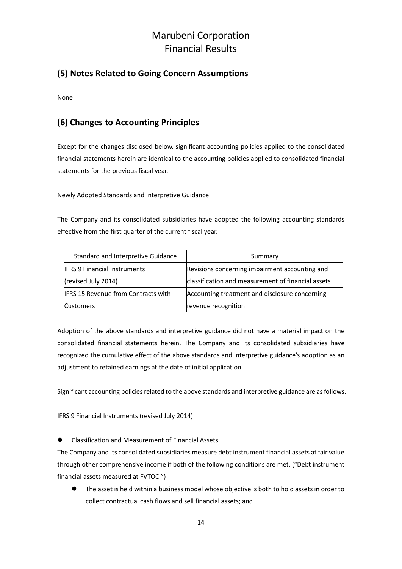### **(5) Notes Related to Going Concern Assumptions**

None

### **(6) Changes to Accounting Principles**

Except for the changes disclosed below, significant accounting policies applied to the consolidated financial statements herein are identical to the accounting policies applied to consolidated financial statements for the previous fiscal year.

Newly Adopted Standards and Interpretive Guidance

The Company and its consolidated subsidiaries have adopted the following accounting standards effective from the first quarter of the current fiscal year.

| Standard and Interpretive Guidance         | Summary                                            |
|--------------------------------------------|----------------------------------------------------|
| <b>IFRS 9 Financial Instruments</b>        | Revisions concerning impairment accounting and     |
| (revised July 2014)                        | classification and measurement of financial assets |
| <b>IFRS 15 Revenue from Contracts with</b> | Accounting treatment and disclosure concerning     |
| <b>Customers</b>                           | revenue recognition                                |

Adoption of the above standards and interpretive guidance did not have a material impact on the consolidated financial statements herein. The Company and its consolidated subsidiaries have recognized the cumulative effect of the above standards and interpretive guidance's adoption as an adjustment to retained earnings at the date of initial application.

Significant accounting policies related to the above standards and interpretive guidance are as follows.

IFRS 9 Financial Instruments (revised July 2014)

Classification and Measurement of Financial Assets

The Company and its consolidated subsidiaries measure debt instrument financial assets at fair value through other comprehensive income if both of the following conditions are met. ("Debt instrument financial assets measured at FVTOCI")

 The asset is held within a business model whose objective is both to hold assets in order to collect contractual cash flows and sell financial assets; and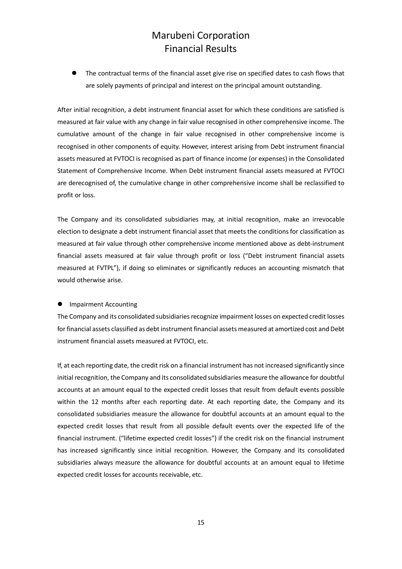The contractual terms of the financial asset give rise on specified dates to cash flows that are solely payments of principal and interest on the principal amount outstanding.

After initial recognition, a debt instrument financial asset for which these conditions are satisfied is measured at fair value with any change in fair value recognised in other comprehensive income. The cumulative amount of the change in fair value recognised in other comprehensive income is recognised in other components of equity. However, interest arising from Debt instrument financial assets measured at FVTOCI is recognised as part of finance income (or expenses) in the Consolidated Statement of Comprehensive Income. When Debt instrument financial assets measured at FVTOCI are derecognised of, the cumulative change in other comprehensive income shall be reclassified to profit or loss.

The Company and its consolidated subsidiaries may, at initial recognition, make an irrevocable election to designate a debt instrument financial asset that meets the conditions for classification as measured at fair value through other comprehensive income mentioned above as debt-instrument financial assets measured at fair value through profit or loss ("Debt instrument financial assets measured at FVTPL"), if doing so eliminates or significantly reduces an accounting mismatch that would otherwise arise.

#### **•** Impairment Accounting

The Company and its consolidated subsidiaries recognize impairment losses on expected credit losses for financial assets classified as debt instrument financial assets measured at amortized cost and Debt instrument financial assets measured at FVTOCI, etc.

If, at each reporting date, the credit risk on a financial instrument has not increased significantly since initial recognition, the Company and its consolidated subsidiaries measure the allowance for doubtful accounts at an amount equal to the expected credit losses that result from default events possible within the 12 months after each reporting date. At each reporting date, the Company and its consolidated subsidiaries measure the allowance for doubtful accounts at an amount equal to the expected credit losses that result from all possible default events over the expected life of the financial instrument. ("lifetime expected credit losses") if the credit risk on the financial instrument has increased significantly since initial recognition. However, the Company and its consolidated subsidiaries always measure the allowance for doubtful accounts at an amount equal to lifetime expected credit losses for accounts receivable, etc.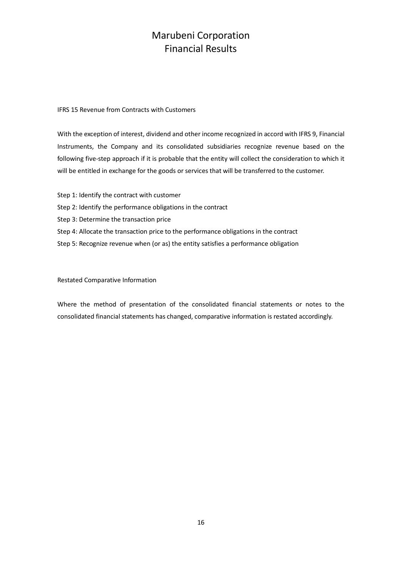#### IFRS 15 Revenue from Contracts with Customers

With the exception of interest, dividend and other income recognized in accord with IFRS 9, Financial Instruments, the Company and its consolidated subsidiaries recognize revenue based on the following five‐step approach if it is probable that the entity will collect the consideration to which it will be entitled in exchange for the goods or services that will be transferred to the customer.

Step 1: Identify the contract with customer Step 2: Identify the performance obligations in the contract Step 3: Determine the transaction price Step 4: Allocate the transaction price to the performance obligations in the contract Step 5: Recognize revenue when (or as) the entity satisfies a performance obligation

### Restated Comparative Information

Where the method of presentation of the consolidated financial statements or notes to the consolidated financial statements has changed, comparative information is restated accordingly.